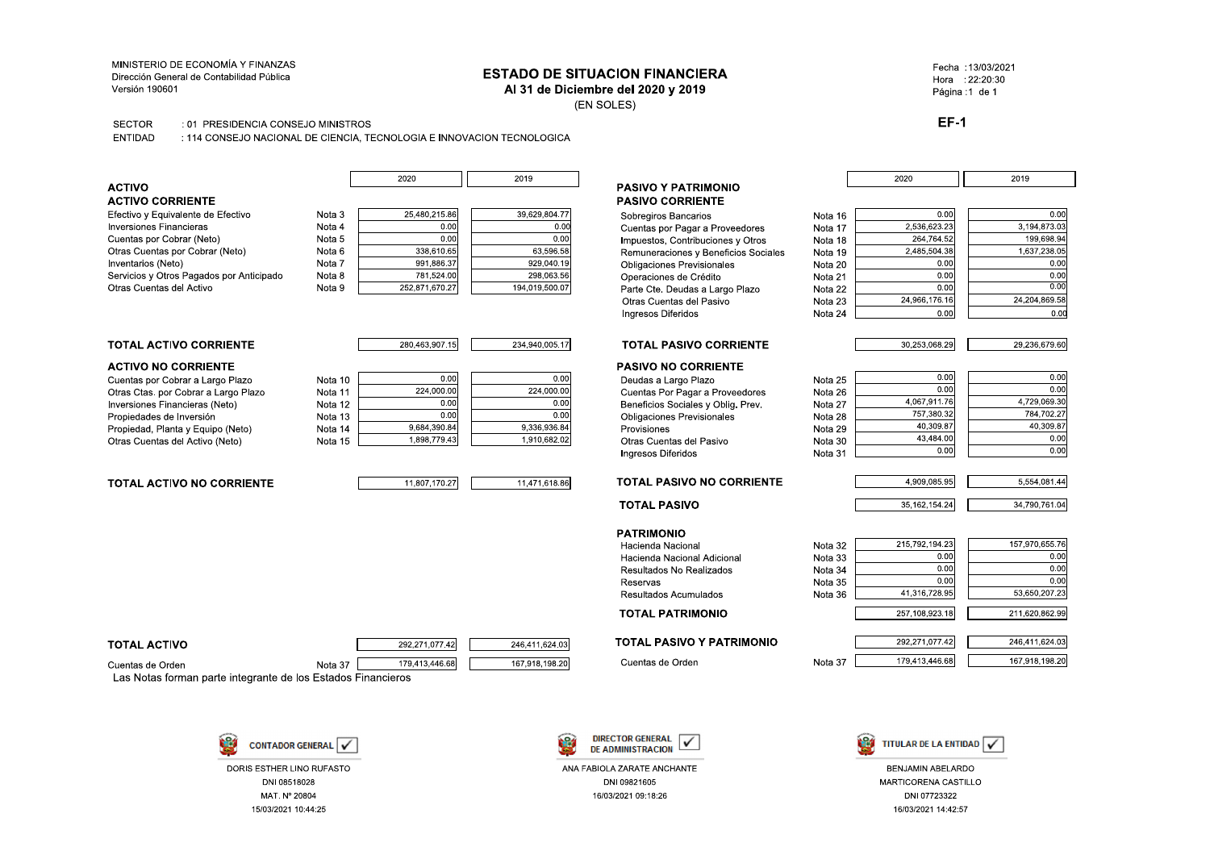### MINISTERIO DE ECONOMÍA Y FINANZAS Dirección General de Contabilidad Pública Versión 190601

# **ESTADO DE SITUACION FINANCIERA**

Al 31 de Diciembre del 2020 y 2019

(EN SOLES)

**SECTOR** : 01 PRESIDENCIA CONSEJO MINISTROS

ENTIDAD : 114 CONSEJO NACIONAL DE CIENCIA. TECNOLOGIA E INNOVACION TECNOLOGICA

Nota

Nota

Nota

Nota

Nota

Nota

|  |  | <b>ACTIVO</b> |  |
|--|--|---------------|--|
|  |  |               |  |

### **ACTIVO CORRIENTE**

Efectivo y Equivalente de Efectivo Inversiones Financieras Cuentas por Cobrar (Neto) Otras Cuentas por Cobrar (Neto) Inventarios (Neto) Servicios y Otros Pagados por Anticipado Otras Cuentas del Activo

| Nota 3 | 25,480,215.86  | 39,629,804.77  |  |  |
|--------|----------------|----------------|--|--|
| Nota 4 | 0.00           | 0.00           |  |  |
| Nota 5 | 0.00           | 0.00           |  |  |
| Nota 6 | 338,610.65     | 63,596.58      |  |  |
| Nota 7 | 991.886.37     | 929.040.19     |  |  |
| Nota 8 | 781.524.00     | 298,063.56     |  |  |
| Nota 9 | 252,871,670.27 | 194,019,500.07 |  |  |

Пſ

 $\frac{2019}{}$ 

234,940,005.17

246,411,624.03

167.918.198.20

 $\frac{2020}{ }$ 

### **TOTAL ACTIVO CORRIENTE**

### **ACTIVO NO CORRIENTE**

Cuentas por Cobrar a Largo Plazo Otras Ctas. por Cobrar a Largo Plazo Inversiones Financieras (Neto) Propiedades de Inversión Propiedad, Planta y Equipo (Neto) Otras Cuentas del Activo (Neto)

### **TOTAL ACTIVO NO CORRIENTE**

| 10 | 0.001        | 0.00         |
|----|--------------|--------------|
| 11 | 224.000.00   | 224.000.00   |
| 12 | 0.00         | 0.00         |
| 13 | 0.001        | 0.00         |
| 14 | 9.684.390.84 | 9.336.936.84 |
| 15 | 1,898,779.43 | 1,910,682.02 |
|    |              |              |

280,463,907.15

292,271,077.42

179.413.446.68

### 11,807,170.27 11,471,618.86

### **TOTAL ACTIVO**

Cuentas de Orden Nota 37 Las Notas forman parte integrante de los Estados Financieros



DORIS ESTHER LINO RUFASTO DNI 08518028 MAT. Nº 20804 15/03/2021 10:44:25



ANA FABIOLA ZARATE ANCHANTE DNI 09821605 16/03/2021 09:18:26

**PASIVO Y PATRIMONIO PASIVO CORRIENTE** 

Sobregiros Bancarios Cuentas por Pagar a Proveedores Impuestos, Contribuciones y Otros Remuneraciones y Beneficios Sociales Obligaciones Previsionales Operaciones de Crédito Parte Cte. Deudas a Largo Plazo Otras Cuentas del Pasivo Ingresos Diferidos

| Nota 16 | 0.00          | 0.00          |
|---------|---------------|---------------|
| Nota 17 | 2.536.623.23  | 3.194.873.03  |
| Nota 18 | 264,764.52    | 199,698.94    |
| Nota 19 | 2,485,504.38  | 1,637,238.0   |
| Nota 20 | 0.00          | 0.00          |
| Nota 21 | 0.00          | 0.00          |
| Nota 22 | 0.00          | 0.00          |
| Nota 23 | 24.966.176.16 | 24.204.869.58 |
| Nota 24 | 0.00          | 0.0           |

30,253,068.29

4.067.911.76

757,380.32

40,309.87

43,484.00

4,909,085.95

35, 162, 154. 24

215.792.194.23

41,316,728.95

257,108,923.18

292,271,077.42

179,413,446.68

 $0.00$ 

 $0.00$ 

 $0.00$ 

 $0.00$ 

 $0.00$ 

 $0.00$ 

2020

## **TOTAL PASIVO CORRIENTE**

## **PASIVO NO CORRIENTE**

Deudas a Largo Plazo Cuentas Por Pagar a Proveedores Beneficios Sociales y Oblig, Prev. **Obligaciones Previsionales** Provisiones Otras Cuentas del Pasivo Ingresos Diferidos

### **TOTAL PASIVO NO CORRIENTE**

## **TOTAL PASIVO**

**PATRIMONIO** Hacienda Nacional Hacienda Nacional Adicional Resultados No Realizados Reservas

### **TOTAL PATRIMONIO**

# Nota 29 Nota 30 Nota 31

Nota 25

Nota 26

Nota 27

Nota 28

Nota 32

Nota 33

Nota 34 Nota 35

Nota 36

Nota 37

Resultados Acumulados

**TOTAL PASIVO Y PATRIMONIO** 

Cuentas de Orden



### **BENJAMIN ABELARDO** MARTICORENA CASTILLO DNI 07723322 16/03/2021 14:42:57

### Fecha: 13/03/2021 Hora : 22:20:30 Página :1 de 1

2019

29,236,679.60

4,729,069.30

5,554,081.44

34,790,761.04

157,970,655.76

53,650,207.23

211,620,862.99

246,411,624.03

167,918,198.20

784,702.27

40.309.87

 $0.00$ 

 $0.00$ 

 $0.00$ 

 $0.00$ 

 $0.00$ 

 $0.00$ 

 $0.00$ 

**EF-1**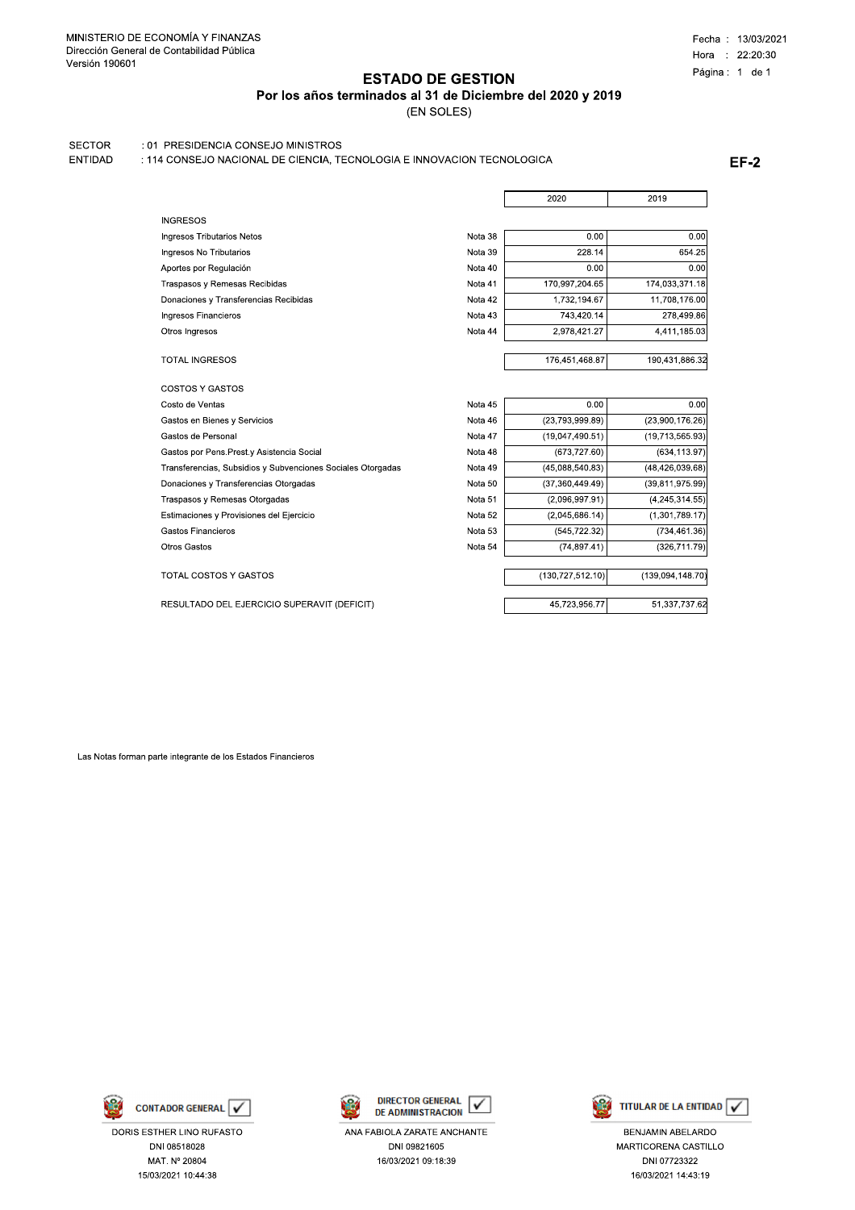Por los años terminados al 31 de Diciembre del 2020 y 2019

(EN SOLES)

### **SECTOR** : 01 PRESIDENCIA CONSEJO MINISTROS

: 114 CONSEJO NACIONAL DE CIENCIA, TECNOLOGIA E INNOVACION TECNOLOGICA ENTIDAD

**EF-2** 

|                                            |         | 2020            | 2019            |
|--------------------------------------------|---------|-----------------|-----------------|
| <b>INGRESOS</b>                            |         |                 |                 |
| Ingresos Tributarios Netos                 | Nota 38 | 0.00            | 0.00            |
| Ingresos No Tributarios                    | Nota 39 | 228.14          | 654.25          |
| Aportes por Regulación                     | Nota 40 | 0.00            | 0.00            |
| Traspasos y Remesas Recibidas              | Nota 41 | 170,997,204.65  | 174,033,371.18  |
| Donaciones y Transferencias Recibidas      | Nota 42 | 1,732,194.67    | 11.708.176.00   |
| Ingresos Financieros                       | Nota 43 | 743,420.14      | 278,499.86      |
| Otros Ingresos                             | Nota 44 | 2,978,421.27    | 4,411,185.03    |
| <b>TOTAL INGRESOS</b>                      |         | 176,451,468.87  | 190,431,886.32  |
| <b>COSTOS Y GASTOS</b>                     |         |                 |                 |
| Costo de Ventas                            | Nota 45 | 0.00            | 0.00            |
| Gastos en Bienes y Servicios               | Nota 46 | (23,793,999.89) | (23,900,176.26) |
| Gastos de Personal                         | Nota 47 | (19,047,490.51) | (19,713,565.93) |
| Gastos por Pens. Prest.y Asistencia Social | Nota 48 | (673.727.60)    | (634, 113.97)   |

Nota 49

Nota 50

Nota 51

Nota 52

Nota 53

Nota 54

 $(45,088,540.83)$ 

 $(37,360,449.49)$ 

 $(2,096,997.91)$ 

 $(2.045.686.14)$ 

 $(130, 727, 512.10)$ 

45,723,956.77

 $(545, 722.32)$ 

 $(74.897.41)$ 

 $(48, 426, 039.68)$ 

 $(39,811,975.99)$ 

 $(4, 245, 314.55)$ 

 $(1.301.789.17)$ 

(734.461.36)

 $(326.711.79)$ 

 $(139,094,148.70)$ 

51,337,737.62

Transferencias, Subsidios y Subvenciones Sociales Otorgadas

Donaciones y Transferencias Otorgadas

Traspasos y Remesas Otorgadas Estimaciones y Provisiones del Ejercicio

Gastos Financieros

Otros Gastos

TOTAL COSTOS Y GASTOS

RESULTADO DEL EJERCICIO SUPERAVIT (DEFICIT)

Las Notas forman parte integrante de los Estados Financieros



DORIS ESTHER LINO RUFASTO DNI 08518028 MAT. Nº 20804 15/03/2021 10:44:38



ANA FABIOLA ZARATE ANCHANTE DNI 09821605 16/03/2021 09:18:39



BENJAMIN ABELARDO MARTICORENA CASTILLO DNI 07723322 16/03/2021 14:43:19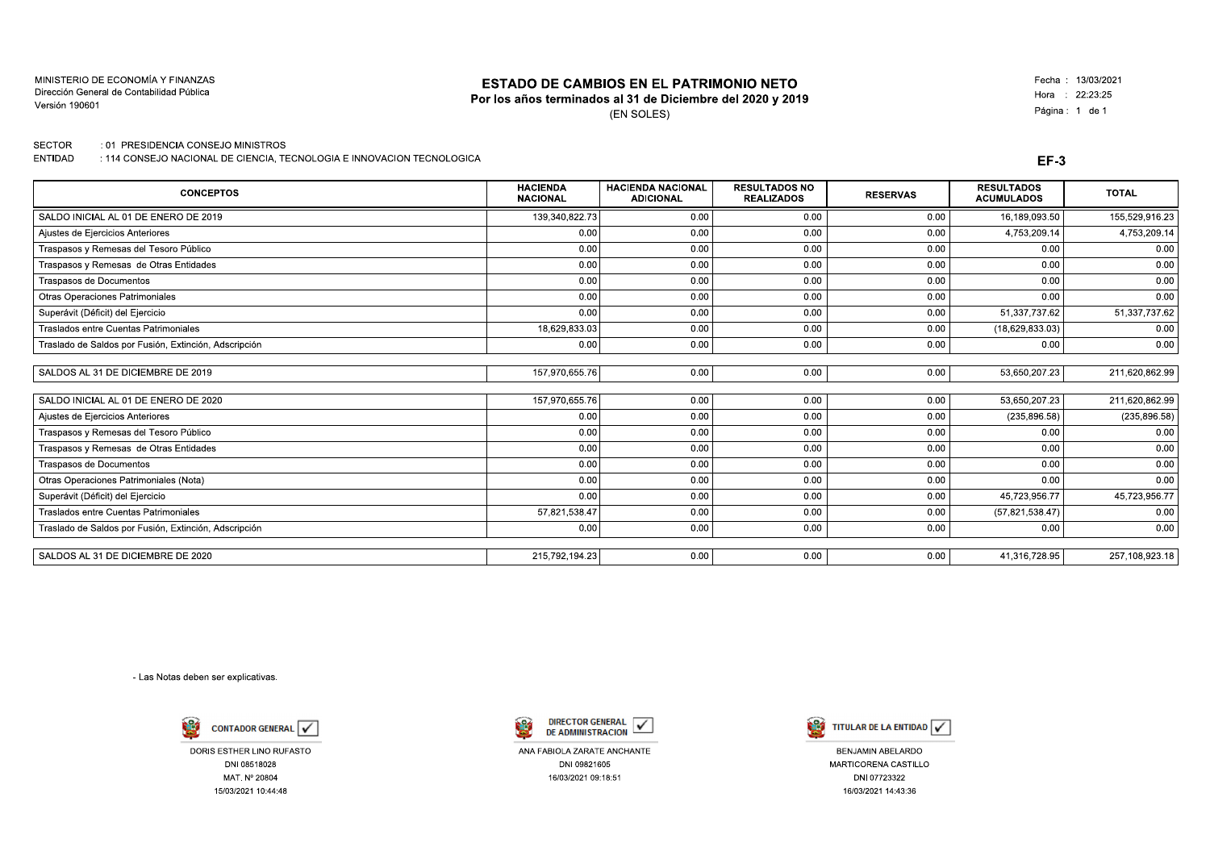MINISTERIO DE ECONOMÍA Y FINANZAS Dirección General de Contabilidad Pública Versión 190601

### **ESTADO DE CAMBIOS EN EL PATRIMONIO NETO**

## Por los años terminados al 31 de Diciembre del 2020 y 2019

(EN SOLES)

Fecha: 13/03/2021 Hora : 22:23:25 Página: 1 de 1

**SECTOR** : 01 PRESIDENCIA CONSEJO MINISTROS

ENTIDAD : 114 CONSEJO NACIONAL DE CIENCIA, TECNOLOGIA E INNOVACION TECNOLOGICA

|  | ۰.<br>× |
|--|---------|
|--|---------|

| <b>CONCEPTOS</b>                                      | <b>HACIENDA</b><br><b>NACIONAL</b> | <b>HACIENDA NACIONAL</b><br><b>ADICIONAL</b> | <b>RESULTADOS NO</b><br><b>REALIZADOS</b> | <b>RESERVAS</b> | <b>RESULTADOS</b><br><b>ACUMULADOS</b> | <b>TOTAL</b>   |
|-------------------------------------------------------|------------------------------------|----------------------------------------------|-------------------------------------------|-----------------|----------------------------------------|----------------|
| SALDO INICIAL AL 01 DE ENERO DE 2019                  | 139.340.822.73                     | 0.00                                         | 0.00                                      | 0.00            | 16,189,093.50                          | 155.529,916.23 |
| Ajustes de Ejercicios Anteriores                      | 0.00                               | 0.00                                         | 0.00                                      | 0.00            | 4,753,209.14                           | 4,753,209.14   |
| Traspasos y Remesas del Tesoro Público                | 0.00                               | 0.00                                         | 0.00                                      | 0.00            | 0.00                                   | 0.00           |
| Traspasos y Remesas de Otras Entidades                | 0.00                               | 0.00                                         | 0.00                                      | 0.00            | 0.00                                   | 0.00           |
| Traspasos de Documentos                               | 0.00                               | 0.00                                         | 0.00                                      | 0.00            | 0.00                                   | 0.00           |
| Otras Operaciones Patrimoniales                       | 0.00                               | 0.00                                         | 0.00                                      | 0.00            | 0.00                                   | 0.00           |
| Superávit (Déficit) del Ejercicio                     | 0.00                               | 0.00                                         | 0.00                                      | 0.00            | 51,337,737.62                          | 51,337,737.62  |
| Traslados entre Cuentas Patrimoniales                 | 18,629,833.03                      | 0.00                                         | 0.00                                      | 0.00            | (18,629,833.03)                        | 0.00           |
| Traslado de Saldos por Fusión, Extinción, Adscripción | 0.00                               | 0.00                                         | 0.00                                      | 0.00            | 0.00                                   | 0.00           |
|                                                       |                                    |                                              |                                           |                 |                                        |                |
| SALDOS AL 31 DE DICIEMBRE DE 2019                     | 157,970,655.76                     | 0.00                                         | 0.00                                      | 0.00            | 53,650,207.23                          | 211,620,862.99 |
| SALDO INICIAL AL 01 DE ENERO DE 2020                  | 157,970,655.76                     | 0.00                                         | 0.00                                      | 0.00            | 53,650,207.23                          | 211,620,862.99 |
| Ajustes de Ejercicios Anteriores                      | 0.00                               | 0.00                                         | 0.00                                      | 0.00            | (235, 896.58)                          | (235, 896.58)  |
| Traspasos y Remesas del Tesoro Público                | 0.00                               | 0.00                                         | 0.00                                      | 0.00            | 0.00                                   | 0.00           |
| Traspasos y Remesas de Otras Entidades                | 0.00                               | 0.00                                         | 0.00                                      | 0.00            | 0.00                                   | 0.00           |
| Traspasos de Documentos                               | 0.00                               | 0.00                                         | 0.00                                      | 0.00            | 0.00                                   | 0.00           |
| Otras Operaciones Patrimoniales (Nota)                | 0.00                               | 0.00                                         | 0.00                                      | 0.00            | 0.00                                   | 0.00           |
| Superávit (Déficit) del Ejercicio                     | 0.00                               | 0.00                                         | 0.00                                      | 0.00            | 45,723,956.77                          | 45,723,956.77  |
| Traslados entre Cuentas Patrimoniales                 | 57,821,538.47                      | 0.00                                         | 0.00                                      | 0.00            | (57, 821, 538.47)                      | 0.00           |
| Traslado de Saldos por Fusión, Extinción, Adscripción | 0.00                               | 0.00                                         | 0.00                                      | 0.00            | 0.00                                   | 0.00           |
| SALDOS AL 31 DE DICIEMBRE DE 2020                     | 215,792,194.23                     | 0.00                                         | 0.00                                      | 0.00            | 41.316.728.95                          | 257,108,923.18 |
|                                                       |                                    |                                              |                                           |                 |                                        |                |

- Las Notas deben ser explicativas.



DORIS ESTHER LINO RUFASTO DNI 08518028 MAT. Nº 20804 15/03/2021 10:44:48



ANA FABIOLA ZARATE ANCHANTE DNI 09821605 16/03/2021 09:18:51



BENJAMIN ABELARDO MARTICORENA CASTILLO DNI 07723322 16/03/2021 14:43:36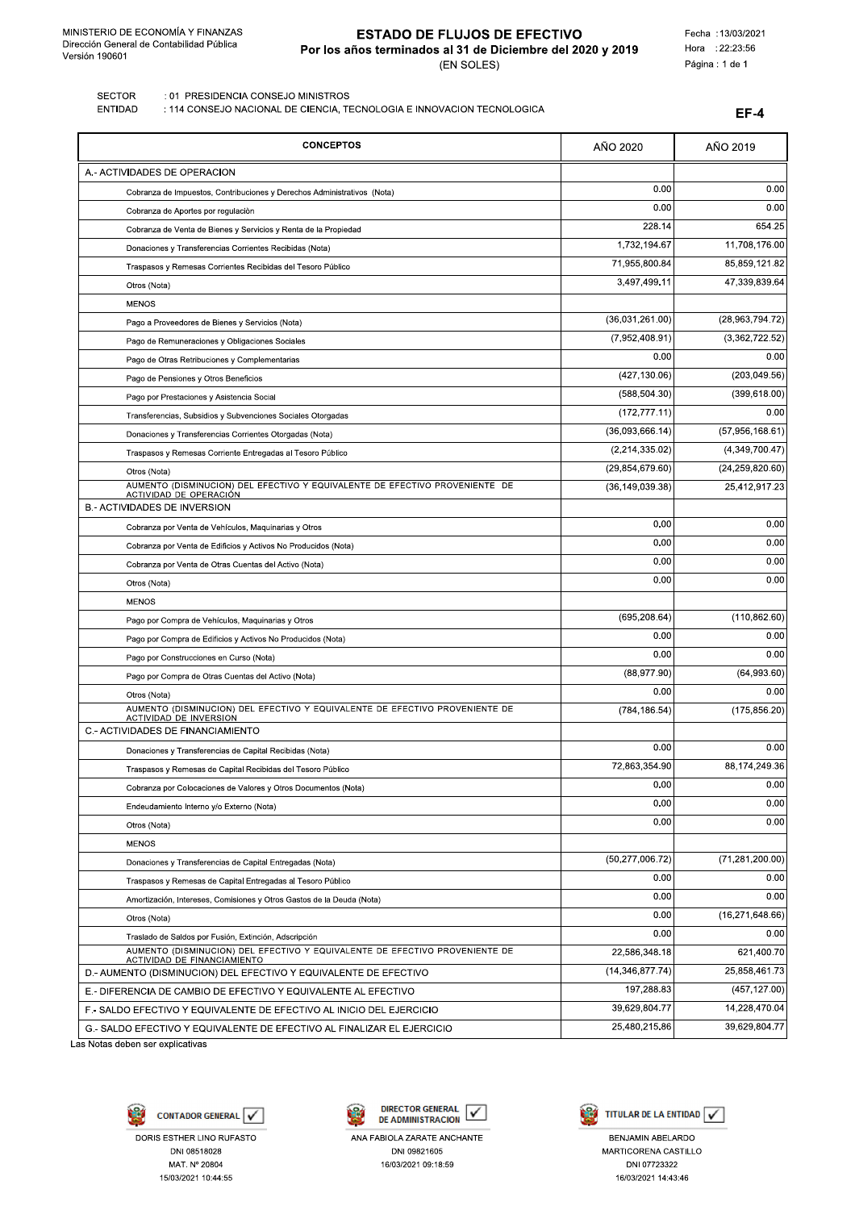A.- ACTIVIDADES DE OPERACION

# **ESTADO DE FLUJOS DE EFECTIVO** Por los años terminados al 31 de Diciembre del 2020 y 2019 (EN SOLES)

Fecha : 13/03/2021 Hora : 22:23:56 Página : 1 de 1

AÑO 2019

AÑO 2020

 $EF-4$ 

**SECTOR** : 01 PRESIDENCIA CONSEJO MINISTROS

**FNTIDAD** : 114 CONSEJO NACIONAL DE CIENCIA, TECNOLOGIA E INNOVACION TECNOLOGICA

**CONCEPTOS** 

 $0.00$  $0.00$ Cobranza de Impuestos, Contribuciones y Derechos Administrativos (Nota)  $0.00$  $0.00$ Cobranza de Aportes por regulación  $228.14$ 654.25 Cobranza de Venta de Bienes y Servicios y Renta de la Propiedad 1.732.194.67 11,708,176.00 Donaciones y Transferencias Corrientes Recibidas (Nota 71.955.800.84 85.859.121.82 Traspasos y Remesas Corrientes Recibidas del Tesoro Público 3,497,499.11 47,339,839.64 Otros (Nota) **MENOS**  $(36,031,261.00)$  $(28,963,794.72)$ Pago a Proveedores de Bienes y Servicios (Nota)  $(7,952,408.91)$  $(3.362.722.52)$ Pago de Remuneraciones y Obligaciones Sociales  $0.00$  $0.00$ Pago de Otras Retribuciones y Complementarias  $(427, 130.06)$  $(203, 049.56)$ Pago de Pensiones y Otros Beneficios  $(399, 618.00)$  $(588, 504.30)$ Pago por Prestaciones y Asistencia Social  $(172, 777.11)$  $0.00$ Transferencias, Subsidios y Subvenciones Sociales Otorgadas  $(36,093,666.14)$  $(57,956,168.61)$ Donaciones y Transferencias Corrientes Otorgadas (Nota  $(4,349,700.47)$  $(2.214.335.02)$ Traspasos y Remesas Corriente Entregadas al Tesoro Público  $(29, 854, 679.60)$  $(24, 259, 820.60)$ Otros (Nota) AUMENTO (DISMINUCION) DEL EFECTIVO Y EQUIVALENTE DE EFECTIVO PROVENIENTE DE (36.149.039.38) 25.412.917.23 ACTIVIDAD DE OPERACIÓN **B.- ACTIVIDADES DE INVERSION**  $0.00$  $0.00$ Cobranza por Venta de Vehículos, Maquinarias y Otros  $\overline{0}$  $\overline{0.00}$ Cobranza por Venta de Edificios y Activos No Producidos (Nota)  $\overline{0.00}$  $0.00$ Cobranza por Venta de Otras Cuentas del Activo (Nota)  $0.00$  $0.00$ Otros (Nota) **MENOS**  $(110, 862.60)$ (695,208.64) Pago por Compra de Vehículos, Maquinarias y Otros  $0.00$  $\overline{0.00}$ Pago por Compra de Edificios y Activos No Producidos (Nota)  $0.00$  $0.00$ Pago por Construcciones en Curso (Nota)  $(88, 977.90)$  $(64,993.60)$ Pago por Compra de Otras Cuentas del Activo (Nota)  $0<sup>0</sup>$  $\overline{0.00}$ Otros (Nota) AUMENTO (DISMINUCION) DEL EFECTIVO Y EQUIVALENTE DE EFECTIVO PROVENIENTE DE ACTIVIDAD DE INVERSION  $(784, 186.54)$  $(175, 856.20)$ C.- ACTIVIDADES DE FINANCIAMIENTO  $0.00$  $0.00$ Donaciones y Transferencias de Capital Recibidas (Nota) 72,863,354.90 88,174,249.36 Traspasos y Remesas de Capital Recibidas del Tesoro Público  $\overline{0}$  $\overline{0.00}$ Cobranza por Colocaciones de Valores y Otros Documentos (Nota)  $\overline{0}$  $0.00$ Endeudamiento Interno y/o Externo (Nota) Otros (Nota)  $0.00$  $0.00$ **MENOS**  $(50, 277, 006.72)$  $(71, 281, 200.00)$ Donaciones y Transferencias de Capital Entregadas (Nota)  $0.00$  $0.00$ Traspasos y Remesas de Capital Entregadas al Tesoro Público  $0.00$  $0.00$ Amortización, Intereses, Comisiones y Otros Gastos de la Deuda (Nota)  $0.00$  $(16, 271, 648.66)$ Otros (Nota)  $\overline{0}$  $0.00$ Traslado de Saldos por Fusión, Extinción, Adscripción AUMENTO (DISMINUCION) DEL EFECTIVO Y EQUIVALENTE DE EFECTIVO PROVENIENTE DE 22,586,348.18 621,400.70 CTIVIDAD DE FINANCIAMIENTO  $(14.346.877.74)$ 25.858.461.73 D.- AUMENTO (DISMINUCION) DEL EFECTIVO Y EQUIVALENTE DE EFECTIVO 197,288.83  $(457, 127.00)$ E.- DIFERENCIA DE CAMBIO DE EFECTIVO Y EQUIVALENTE AL EFECTIVO

Las Notas deben ser explicativas



DNI 08518028

MAT Nº 20804

15/03/2021 10:44:55

F.- SALDO EFECTIVO Y EQUIVALENTE DE EFECTIVO AL INICIO DEL EJERCICIO

G.- SALDO EFECTIVO Y EQUIVALENTE DE EFECTIVO AL FINALIZAR EL EJERCICIO





39,629,804.77

25.480.215.86

14,228,470.04

39.629.804.77

ANA FABIOLA ZARATE ANCHANTE DNI 09821605 16/03/2021 09:18:59

**BENJAMIN ABELARDO** MARTICORENA CASTILLO DNI 07723322 16/03/2021 14:43:46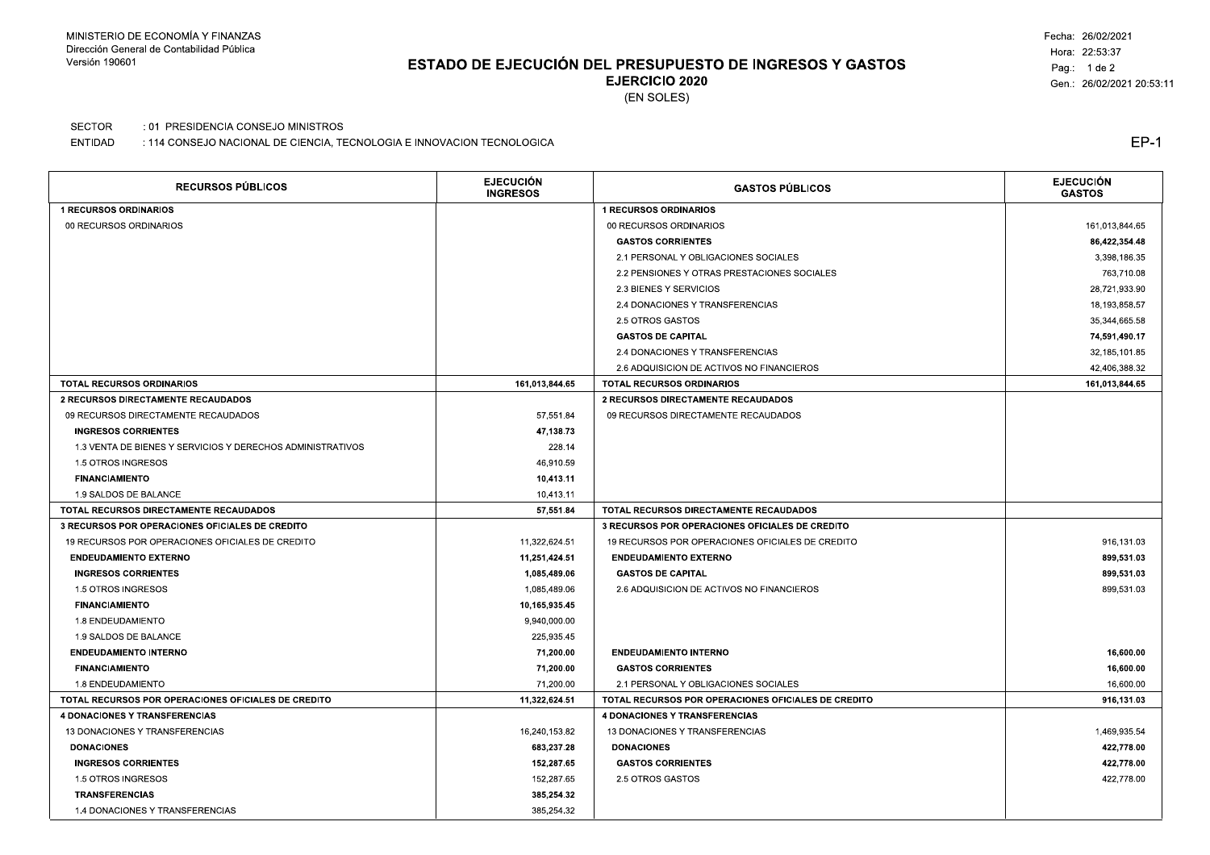# ESTADO DE EJECUCIÓN DEL PRESUPUESTO DE INGRESOS Y GASTOS **EJERCICIO 2020**

Fecha: 26/02/2021 Hora: 22:53:37 Pag.: 1 de 2 Gen.: 26/02/2021 20:53:11

(EN SOLES)

### **SECTOR** : 01 PRESIDENCIA CONSEJO MINISTROS

ENTIDAD : 114 CONSEJO NACIONAL DE CIENCIA, TECNOLOGIA E INNOVACION TECNOLOGICA

| <b>RECURSOS PÚBLICOS</b>                                   | <b>EJECUCIÓN</b><br><b>INGRESOS</b> | <b>GASTOS PÚBLICOS</b>                                 | <b>EJECUCIÓN</b><br><b>GASTOS</b> |
|------------------------------------------------------------|-------------------------------------|--------------------------------------------------------|-----------------------------------|
| <b>1 RECURSOS ORDINARIOS</b>                               |                                     | <b>1 RECURSOS ORDINARIOS</b>                           |                                   |
| 00 RECURSOS ORDINARIOS                                     |                                     | 00 RECURSOS ORDINARIOS                                 | 161.013.844.65                    |
|                                                            |                                     | <b>GASTOS CORRIENTES</b>                               | 86,422,354.48                     |
|                                                            |                                     | 2.1 PERSONAL Y OBLIGACIONES SOCIALES                   | 3,398,186.35                      |
|                                                            |                                     | 2.2 PENSIONES Y OTRAS PRESTACIONES SOCIALES            | 763,710.08                        |
|                                                            |                                     | 2.3 BIENES Y SERVICIOS                                 | 28,721,933.90                     |
|                                                            |                                     | 2.4 DONACIONES Y TRANSFERENCIAS                        | 18,193,858.57                     |
|                                                            |                                     | 2.5 OTROS GASTOS                                       | 35.344.665.58                     |
|                                                            |                                     | <b>GASTOS DE CAPITAL</b>                               | 74,591,490.17                     |
|                                                            |                                     | 2.4 DONACIONES Y TRANSFERENCIAS                        | 32,185,101.85                     |
|                                                            |                                     | 2.6 ADQUISICION DE ACTIVOS NO FINANCIEROS              | 42.406.388.32                     |
| <b>TOTAL RECURSOS ORDINARIOS</b>                           | 161,013,844.65                      | <b>TOTAL RECURSOS ORDINARIOS</b>                       | 161,013,844.65                    |
| 2 RECURSOS DIRECTAMENTE RECAUDADOS                         |                                     | 2 RECURSOS DIRECTAMENTE RECAUDADOS                     |                                   |
| 09 RECURSOS DIRECTAMENTE RECAUDADOS                        | 57,551.84                           | 09 RECURSOS DIRECTAMENTE RECAUDADOS                    |                                   |
| <b>INGRESOS CORRIENTES</b>                                 | 47.138.73                           |                                                        |                                   |
| 1.3 VENTA DE BIENES Y SERVICIOS Y DERECHOS ADMINISTRATIVOS | 228.14                              |                                                        |                                   |
| 1.5 OTROS INGRESOS                                         | 46.910.59                           |                                                        |                                   |
| <b>FINANCIAMIENTO</b>                                      | 10,413.11                           |                                                        |                                   |
| 1.9 SALDOS DE BALANCE                                      | 10,413.11                           |                                                        |                                   |
| TOTAL RECURSOS DIRECTAMENTE RECAUDADOS                     | 57,551.84                           | TOTAL RECURSOS DIRECTAMENTE RECAUDADOS                 |                                   |
| 3 RECURSOS POR OPERACIONES OFICIALES DE CREDITO            |                                     | <b>3 RECURSOS POR OPERACIONES OFICIALES DE CREDITO</b> |                                   |
| 19 RECURSOS POR OPERACIONES OFICIALES DE CREDITO           | 11,322,624.51                       | 19 RECURSOS POR OPERACIONES OFICIALES DE CREDITO       | 916,131.03                        |
| <b>ENDEUDAMIENTO EXTERNO</b>                               | 11,251,424.51                       | <b>ENDEUDAMIENTO EXTERNO</b>                           | 899,531.03                        |
| <b>INGRESOS CORRIENTES</b>                                 | 1,085.489.06                        | <b>GASTOS DE CAPITAL</b>                               | 899,531.03                        |
| 1.5 OTROS INGRESOS                                         | 1,085,489.06                        | 2.6 ADQUISICION DE ACTIVOS NO FINANCIEROS              | 899,531.03                        |
| <b>FINANCIAMIENTO</b>                                      | 10.165.935.45                       |                                                        |                                   |
| 1.8 ENDEUDAMIENTO                                          | 9,940,000.00                        |                                                        |                                   |
| 1.9 SALDOS DE BALANCE                                      | 225,935.45                          |                                                        |                                   |
| <b>ENDEUDAMIENTO INTERNO</b>                               | 71,200.00                           | <b>ENDEUDAMIENTO INTERNO</b>                           | 16,600.00                         |
| <b>FINANCIAMIENTO</b>                                      | 71,200.00                           | <b>GASTOS CORRIENTES</b>                               | 16,600.00                         |
| 1.8 ENDEUDAMIENTO                                          | 71,200.00                           | 2.1 PERSONAL Y OBLIGACIONES SOCIALES                   | 16,600.00                         |
| TOTAL RECURSOS POR OPERACIONES OFICIALES DE CREDITO        | 11,322,624.51                       | TOTAL RECURSOS POR OPERACIONES OFICIALES DE CREDITO    | 916,131.03                        |
| <b>4 DONACIONES Y TRANSFERENCIAS</b>                       |                                     | <b>4 DONACIONES Y TRANSFERENCIAS</b>                   |                                   |
| 13 DONACIONES Y TRANSFERENCIAS                             | 16,240,153.82                       | 13 DONACIONES Y TRANSFERENCIAS                         | 1,469,935.54                      |
| <b>DONACIONES</b>                                          | 683,237.28                          | <b>DONACIONES</b>                                      | 422,778.00                        |
| <b>INGRESOS CORRIENTES</b>                                 | 152,287.65                          | <b>GASTOS CORRIENTES</b>                               | 422,778.00                        |
| 1.5 OTROS INGRESOS                                         | 152,287.65                          | 2.5 OTROS GASTOS                                       | 422,778.00                        |
| <b>TRANSFERENCIAS</b>                                      | 385,254.32                          |                                                        |                                   |
| 1.4 DONACIONES Y TRANSFERENCIAS                            | 385.254.32                          |                                                        |                                   |

 $EP-1$